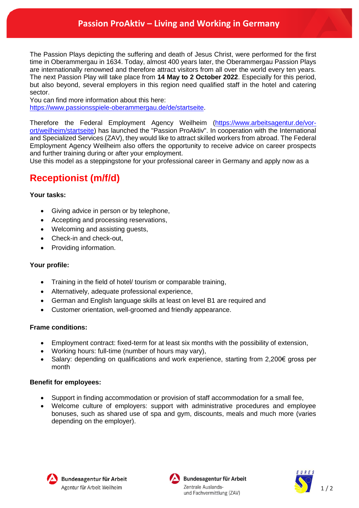# **Passion ProAktiv – Living and Working in Germany**

The Passion Plays depicting the suffering and death of Jesus Christ, were performed for the first time in Oberammergau in 1634. Today, almost 400 years later, the Oberammergau Passion Plays are internationally renowned and therefore attract visitors from all over the world every ten years. The next Passion Play will take place from **14 May to 2 October 2022**. Especially for this period, but also beyond, several employers in this region need qualified staff in the hotel and catering sector.

You can find more information about this here:

[https://www.passionsspiele-oberammergau.de/de/startseite.](https://www.passionsspiele-oberammergau.de/de/startseite)

Therefore the Federal Employment Agency Weilheim [\(https://www.arbeitsagentur.de/vor](https://www.arbeitsagentur.de/vor-ort/weilheim/startseite)[ort/weilheim/startseite\)](https://www.arbeitsagentur.de/vor-ort/weilheim/startseite) has launched the "Passion ProAktiv". In cooperation with the International and Specialized Services (ZAV), they would like to attract skilled workers from abroad. The Federal Employment Agency Weilheim also offers the opportunity to receive advice on career prospects and further training during or after your employment.

Use this model as a steppingstone for your professional career in Germany and apply now as a

# **Receptionist (m/f/d)**

## **Your tasks:**

- Giving advice in person or by telephone,
- Accepting and processing reservations,
- Welcoming and assisting guests,
- Check-in and check-out,
- Providing information.

## **Your profile:**

- Training in the field of hotel/ tourism or comparable training,
- Alternatively, adequate professional experience,
- German and English language skills at least on level B1 are required and
- Customer orientation, well-groomed and friendly appearance.

## **Frame conditions:**

- Employment contract: fixed-term for at least six months with the possibility of extension,
- Working hours: full-time (number of hours may vary),
- Salary: depending on qualifications and work experience, starting from 2,200€ gross per month

## **Benefit for employees:**

- Support in finding accommodation or provision of staff accommodation for a small fee,
- Welcome culture of employers: support with administrative procedures and employee bonuses, such as shared use of spa and gym, discounts, meals and much more (varies depending on the employer).





Bundesagentur für Arbeit Zentrale Auslandsund Fachvermittlung (ZAV)